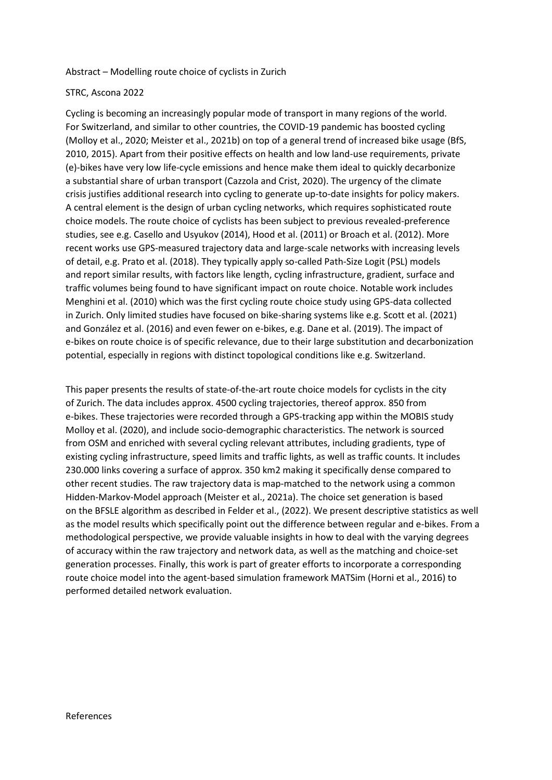## Abstract – Modelling route choice of cyclists in Zurich

## STRC, Ascona 2022

Cycling is becoming an increasingly popular mode of transport in many regions of the world. For Switzerland, and similar to other countries, the COVID-19 pandemic has boosted cycling (Molloy et al., 2020; Meister et al., 2021b) on top of a general trend of increased bike usage (BfS, 2010, 2015). Apart from their positive effects on health and low land-use requirements, private (e)-bikes have very low life-cycle emissions and hence make them ideal to quickly decarbonize a substantial share of urban transport (Cazzola and Crist, 2020). The urgency of the climate crisis justifies additional research into cycling to generate up-to-date insights for policy makers. A central element is the design of urban cycling networks, which requires sophisticated route choice models. The route choice of cyclists has been subject to previous revealed-preference studies, see e.g. Casello and Usyukov (2014), Hood et al. (2011) or Broach et al. (2012). More recent works use GPS-measured trajectory data and large-scale networks with increasing levels of detail, e.g. Prato et al. (2018). They typically apply so-called Path-Size Logit (PSL) models and report similar results, with factors like length, cycling infrastructure, gradient, surface and traffic volumes being found to have significant impact on route choice. Notable work includes Menghini et al. (2010) which was the first cycling route choice study using GPS-data collected in Zurich. Only limited studies have focused on bike-sharing systems like e.g. Scott et al. (2021) and González et al. (2016) and even fewer on e-bikes, e.g. Dane et al. (2019). The impact of e-bikes on route choice is of specific relevance, due to their large substitution and decarbonization potential, especially in regions with distinct topological conditions like e.g. Switzerland.

This paper presents the results of state-of-the-art route choice models for cyclists in the city of Zurich. The data includes approx. 4500 cycling trajectories, thereof approx. 850 from e-bikes. These trajectories were recorded through a GPS-tracking app within the MOBIS study Molloy et al. (2020), and include socio-demographic characteristics. The network is sourced from OSM and enriched with several cycling relevant attributes, including gradients, type of existing cycling infrastructure, speed limits and traffic lights, as well as traffic counts. It includes 230.000 links covering a surface of approx. 350 km2 making it specifically dense compared to other recent studies. The raw trajectory data is map-matched to the network using a common Hidden-Markov-Model approach (Meister et al., 2021a). The choice set generation is based on the BFSLE algorithm as described in Felder et al., (2022). We present descriptive statistics as well as the model results which specifically point out the difference between regular and e-bikes. From a methodological perspective, we provide valuable insights in how to deal with the varying degrees of accuracy within the raw trajectory and network data, as well as the matching and choice-set generation processes. Finally, this work is part of greater efforts to incorporate a corresponding route choice model into the agent-based simulation framework MATSim (Horni et al., 2016) to performed detailed network evaluation.